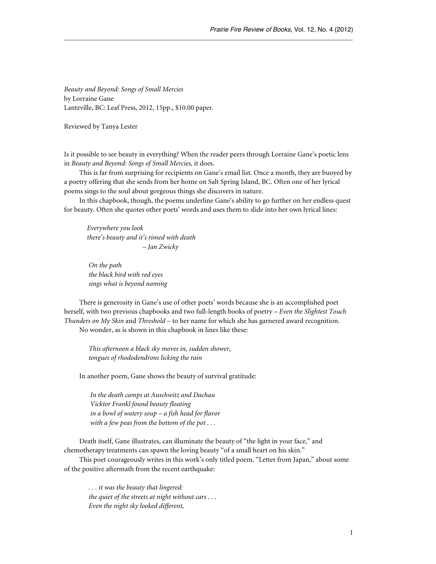*Beauty and Beyond: Songs of Small Mercies* by Lorraine Gane Lantzville, BC: Leaf Press, 2012, 15pp., \$10.00 paper.

Reviewed by Tanya Lester

Is it possible to see beauty in everything? When the reader peers through Lorraine Gane's poetic lens in *Beauty and Beyond: Songs of Small Mercies,* it does.

 $\mathcal{L}_\text{max} = \mathcal{L}_\text{max} = \mathcal{L}_\text{max} = \mathcal{L}_\text{max} = \mathcal{L}_\text{max} = \mathcal{L}_\text{max} = \mathcal{L}_\text{max} = \mathcal{L}_\text{max} = \mathcal{L}_\text{max} = \mathcal{L}_\text{max} = \mathcal{L}_\text{max} = \mathcal{L}_\text{max} = \mathcal{L}_\text{max} = \mathcal{L}_\text{max} = \mathcal{L}_\text{max} = \mathcal{L}_\text{max} = \mathcal{L}_\text{max} = \mathcal{L}_\text{max} = \mathcal{$ 

This is far from surprising for recipients on Gane's email list. Once a month, they are buoyed by a poetry offering that she sends from her home on Salt Spring Island, BC. Often one of her lyrical poems sings to the soul about gorgeous things she discovers in nature.

In this chapbook, though, the poems underline Gane's ability to go further on her endless quest for beauty. Often she quotes other poets' words and uses them to slide into her own lyrical lines:

 *Everywhere you look there's beauty and it's rimed with death – Jan Zwicky*

 *On the path the black bird with red eyes sings what is beyond naming*

There is generosity in Gane's use of other poets' words because she is an accomplished poet herself, with two previous chapbooks and two full-length books of poetry – *Even the Slightest Touch Thunders on My Skin* and *Threshold –* to her name for which she has garnered award recognition. No wonder, as is shown in this chapbook in lines like these:

 *This afternoon a black sky moves in, sudden shower, tongues of rhododendrons licking the rain*

In another poem, Gane shows the beauty of survival gratitude:

 *In the death camps at Auschwitz and Dachau Vicktor Frankl found beauty floating in a bowl of watery soup – a fish head for flavor with a few peas from the bottom of the pot . . .*

Death itself, Gane illustrates, can illuminate the beauty of "the light in your face," and chemotherapy treatments can spawn the loving beauty "of a small heart on his skin."

This poet courageously writes in this work's only titled poem, "Letter from Japan," about some of the positive aftermath from the recent earthquake:

 *. . . it was the beauty that lingered: the quiet of the streets at night without cars . . . Even the night sky looked different,*